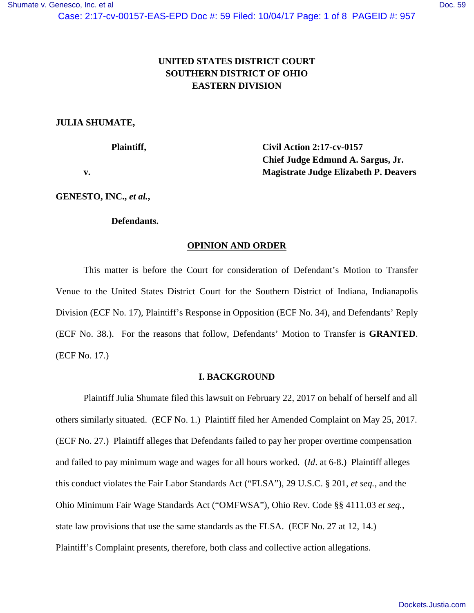# **UNITED STATES DISTRICT COURT SOUTHERN DISTRICT OF OHIO EASTERN DIVISION**

## **JULIA SHUMATE,**

 **Plaintiff, Civil Action 2:17-cv-0157 Chief Judge Edmund A. Sargus, Jr. v. Magistrate Judge Elizabeth P. Deavers** 

**GENESTO, INC.,** *et al.***,** 

### **Defendants.**

### **OPINION AND ORDER**

This matter is before the Court for consideration of Defendant's Motion to Transfer Venue to the United States District Court for the Southern District of Indiana, Indianapolis Division (ECF No. 17), Plaintiff's Response in Opposition (ECF No. 34), and Defendants' Reply (ECF No. 38.). For the reasons that follow, Defendants' Motion to Transfer is **GRANTED**. (ECF No. 17.)

### **I. BACKGROUND**

Plaintiff Julia Shumate filed this lawsuit on February 22, 2017 on behalf of herself and all others similarly situated. (ECF No. 1.) Plaintiff filed her Amended Complaint on May 25, 2017. (ECF No. 27.) Plaintiff alleges that Defendants failed to pay her proper overtime compensation and failed to pay minimum wage and wages for all hours worked. (*Id*. at 6-8.) Plaintiff alleges this conduct violates the Fair Labor Standards Act ("FLSA"), 29 U.S.C. § 201, *et seq.*, and the Ohio Minimum Fair Wage Standards Act ("OMFWSA"), Ohio Rev. Code §§ 4111.03 *et seq.*, state law provisions that use the same standards as the FLSA. (ECF No. 27 at 12, 14.) Plaintiff's Complaint presents, therefore, both class and collective action allegations.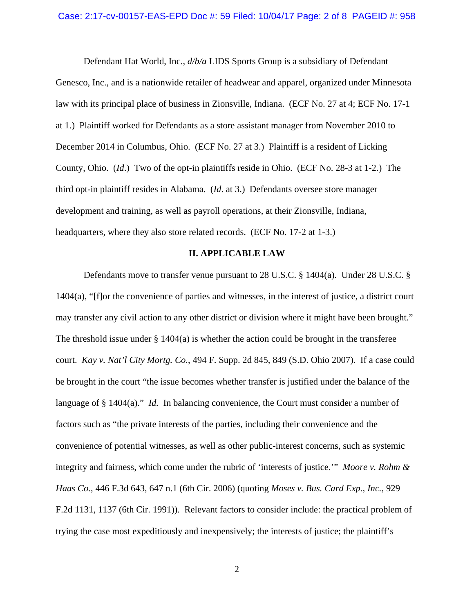Defendant Hat World, Inc., *d/b/a* LIDS Sports Group is a subsidiary of Defendant Genesco, Inc., and is a nationwide retailer of headwear and apparel, organized under Minnesota law with its principal place of business in Zionsville, Indiana. (ECF No. 27 at 4; ECF No. 17-1 at 1.) Plaintiff worked for Defendants as a store assistant manager from November 2010 to December 2014 in Columbus, Ohio. (ECF No. 27 at 3.) Plaintiff is a resident of Licking County, Ohio. (*Id*.) Two of the opt-in plaintiffs reside in Ohio. (ECF No. 28-3 at 1-2.) The third opt-in plaintiff resides in Alabama. (*Id*. at 3.) Defendants oversee store manager development and training, as well as payroll operations, at their Zionsville, Indiana, headquarters, where they also store related records. (ECF No. 17-2 at 1-3.)

#### **II. APPLICABLE LAW**

Defendants move to transfer venue pursuant to 28 U.S.C. § 1404(a). Under 28 U.S.C. § 1404(a), "[f]or the convenience of parties and witnesses, in the interest of justice, a district court may transfer any civil action to any other district or division where it might have been brought." The threshold issue under  $\S 1404(a)$  is whether the action could be brought in the transferee court. *Kay v. Nat'l City Mortg. Co.*, 494 F. Supp. 2d 845, 849 (S.D. Ohio 2007). If a case could be brought in the court "the issue becomes whether transfer is justified under the balance of the language of § 1404(a)." *Id.* In balancing convenience, the Court must consider a number of factors such as "the private interests of the parties, including their convenience and the convenience of potential witnesses, as well as other public-interest concerns, such as systemic integrity and fairness, which come under the rubric of 'interests of justice.'" *Moore v. Rohm & Haas Co.*, 446 F.3d 643, 647 n.1 (6th Cir. 2006) (quoting *Moses v. Bus. Card Exp., Inc.*, 929 F.2d 1131, 1137 (6th Cir. 1991)). Relevant factors to consider include: the practical problem of trying the case most expeditiously and inexpensively; the interests of justice; the plaintiff's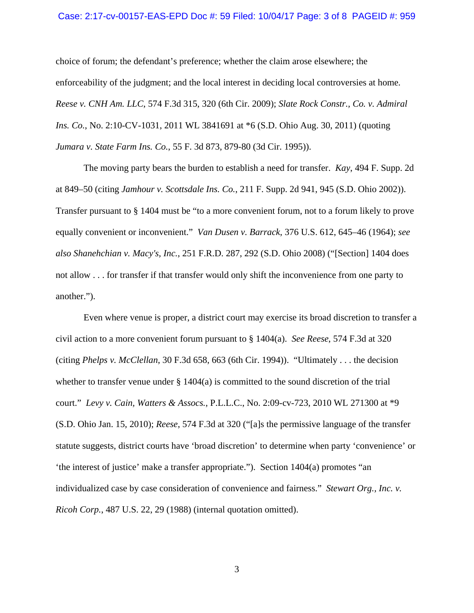#### Case: 2:17-cv-00157-EAS-EPD Doc #: 59 Filed: 10/04/17 Page: 3 of 8 PAGEID #: 959

choice of forum; the defendant's preference; whether the claim arose elsewhere; the enforceability of the judgment; and the local interest in deciding local controversies at home*. Reese v. CNH Am. LLC*, 574 F.3d 315, 320 (6th Cir. 2009); *Slate Rock Constr., Co. v. Admiral Ins. Co.*, No. 2:10-CV-1031, 2011 WL 3841691 at \*6 (S.D. Ohio Aug. 30, 2011) (quoting *Jumara v. State Farm Ins. Co.*, 55 F. 3d 873, 879-80 (3d Cir. 1995)).

 The moving party bears the burden to establish a need for transfer. *Kay*, 494 F. Supp. 2d at 849–50 (citing *Jamhour v. Scottsdale Ins. Co.*, 211 F. Supp. 2d 941, 945 (S.D. Ohio 2002)). Transfer pursuant to § 1404 must be "to a more convenient forum, not to a forum likely to prove equally convenient or inconvenient." *Van Dusen v. Barrack*, 376 U.S. 612, 645–46 (1964); *see also Shanehchian v. Macy's, Inc.*, 251 F.R.D. 287, 292 (S.D. Ohio 2008) ("[Section] 1404 does not allow . . . for transfer if that transfer would only shift the inconvenience from one party to another.").

 Even where venue is proper, a district court may exercise its broad discretion to transfer a civil action to a more convenient forum pursuant to § 1404(a). *See Reese*, 574 F.3d at 320 (citing *Phelps v. McClellan*, 30 F.3d 658, 663 (6th Cir. 1994)). "Ultimately . . . the decision whether to transfer venue under § 1404(a) is committed to the sound discretion of the trial court." *Levy v. Cain, Watters & Assocs.*, P.L.L.C., No. 2:09-cv-723, 2010 WL 271300 at \*9 (S.D. Ohio Jan. 15, 2010); *Reese*, 574 F.3d at 320 ("[a]s the permissive language of the transfer statute suggests, district courts have 'broad discretion' to determine when party 'convenience' or 'the interest of justice' make a transfer appropriate."). Section 1404(a) promotes "an individualized case by case consideration of convenience and fairness." *Stewart Org., Inc. v. Ricoh Corp.*, 487 U.S. 22, 29 (1988) (internal quotation omitted).

3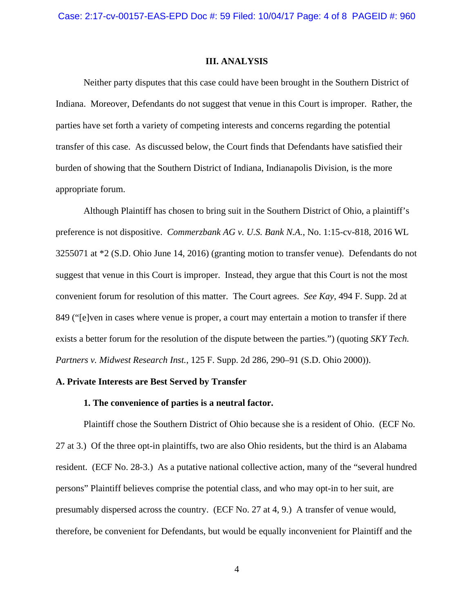### **III. ANALYSIS**

Neither party disputes that this case could have been brought in the Southern District of Indiana. Moreover, Defendants do not suggest that venue in this Court is improper. Rather, the parties have set forth a variety of competing interests and concerns regarding the potential transfer of this case. As discussed below, the Court finds that Defendants have satisfied their burden of showing that the Southern District of Indiana, Indianapolis Division, is the more appropriate forum.

Although Plaintiff has chosen to bring suit in the Southern District of Ohio, a plaintiff's preference is not dispositive. *Commerzbank AG v. U.S. Bank N.A.*, No. 1:15-cv-818, 2016 WL 3255071 at \*2 (S.D. Ohio June 14, 2016) (granting motion to transfer venue). Defendants do not suggest that venue in this Court is improper. Instead, they argue that this Court is not the most convenient forum for resolution of this matter. The Court agrees. *See Kay*, 494 F. Supp. 2d at 849 ("[e]ven in cases where venue is proper, a court may entertain a motion to transfer if there exists a better forum for the resolution of the dispute between the parties.") (quoting *SKY Tech. Partners v. Midwest Research Inst.*, 125 F. Supp. 2d 286, 290–91 (S.D. Ohio 2000)).

### **A. Private Interests are Best Served by Transfer**

### **1. The convenience of parties is a neutral factor.**

Plaintiff chose the Southern District of Ohio because she is a resident of Ohio. (ECF No. 27 at 3.) Of the three opt-in plaintiffs, two are also Ohio residents, but the third is an Alabama resident. (ECF No. 28-3.) As a putative national collective action, many of the "several hundred persons" Plaintiff believes comprise the potential class, and who may opt-in to her suit, are presumably dispersed across the country. (ECF No. 27 at 4, 9.) A transfer of venue would, therefore, be convenient for Defendants, but would be equally inconvenient for Plaintiff and the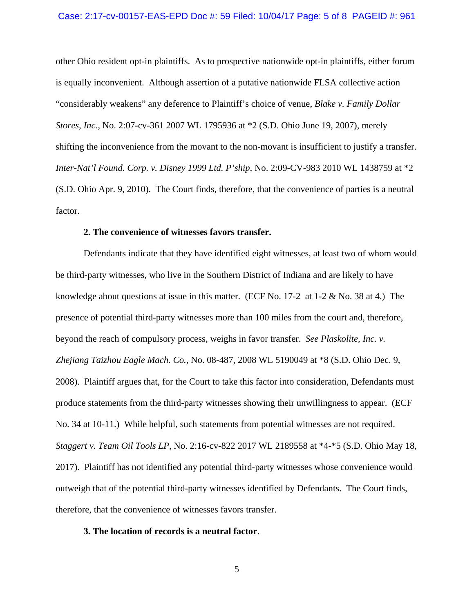#### Case: 2:17-cv-00157-EAS-EPD Doc #: 59 Filed: 10/04/17 Page: 5 of 8 PAGEID #: 961

other Ohio resident opt-in plaintiffs. As to prospective nationwide opt-in plaintiffs, either forum is equally inconvenient. Although assertion of a putative nationwide FLSA collective action "considerably weakens" any deference to Plaintiff's choice of venue, *Blake v. Family Dollar Stores, Inc.*, No. 2:07-cv-361 2007 WL 1795936 at \*2 (S.D. Ohio June 19, 2007), merely shifting the inconvenience from the movant to the non-movant is insufficient to justify a transfer. *Inter-Nat'l Found. Corp. v. Disney 1999 Ltd. P'ship*, No. 2:09-CV-983 2010 WL 1438759 at \*2 (S.D. Ohio Apr. 9, 2010). The Court finds, therefore, that the convenience of parties is a neutral factor.

### **2. The convenience of witnesses favors transfer.**

Defendants indicate that they have identified eight witnesses, at least two of whom would be third-party witnesses, who live in the Southern District of Indiana and are likely to have knowledge about questions at issue in this matter. (ECF No.  $17-2$  at  $1-2 \&$  No. 38 at 4.) The presence of potential third-party witnesses more than 100 miles from the court and, therefore, beyond the reach of compulsory process, weighs in favor transfer. *See Plaskolite, Inc. v. Zhejiang Taizhou Eagle Mach. Co.*, No. 08-487, 2008 WL 5190049 at \*8 (S.D. Ohio Dec. 9, 2008). Plaintiff argues that, for the Court to take this factor into consideration, Defendants must produce statements from the third-party witnesses showing their unwillingness to appear. (ECF No. 34 at 10-11.) While helpful, such statements from potential witnesses are not required. *Staggert v. Team Oil Tools LP*, No. 2:16-cv-822 2017 WL 2189558 at \*4-\*5 (S.D. Ohio May 18, 2017). Plaintiff has not identified any potential third-party witnesses whose convenience would outweigh that of the potential third-party witnesses identified by Defendants. The Court finds, therefore, that the convenience of witnesses favors transfer.

### **3. The location of records is a neutral factor**.

5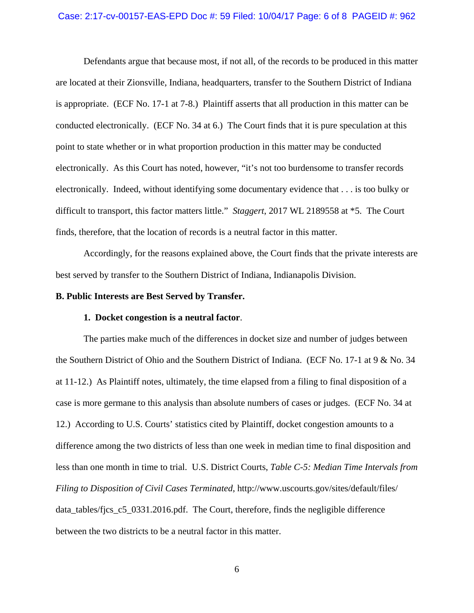#### Case: 2:17-cv-00157-EAS-EPD Doc #: 59 Filed: 10/04/17 Page: 6 of 8 PAGEID #: 962

Defendants argue that because most, if not all, of the records to be produced in this matter are located at their Zionsville, Indiana, headquarters, transfer to the Southern District of Indiana is appropriate. (ECF No. 17-1 at 7-8.) Plaintiff asserts that all production in this matter can be conducted electronically. (ECF No. 34 at 6.) The Court finds that it is pure speculation at this point to state whether or in what proportion production in this matter may be conducted electronically. As this Court has noted, however, "it's not too burdensome to transfer records electronically. Indeed, without identifying some documentary evidence that . . . is too bulky or difficult to transport, this factor matters little." *Staggert*, 2017 WL 2189558 at \*5. The Court finds, therefore, that the location of records is a neutral factor in this matter.

Accordingly, for the reasons explained above, the Court finds that the private interests are best served by transfer to the Southern District of Indiana, Indianapolis Division.

### **B. Public Interests are Best Served by Transfer.**

#### **1. Docket congestion is a neutral factor**.

 The parties make much of the differences in docket size and number of judges between the Southern District of Ohio and the Southern District of Indiana. (ECF No. 17-1 at 9 & No. 34 at 11-12.) As Plaintiff notes, ultimately, the time elapsed from a filing to final disposition of a case is more germane to this analysis than absolute numbers of cases or judges. (ECF No. 34 at 12.) According to U.S. Courts' statistics cited by Plaintiff, docket congestion amounts to a difference among the two districts of less than one week in median time to final disposition and less than one month in time to trial. U.S. District Courts, *Table C-5: Median Time Intervals from Filing to Disposition of Civil Cases Terminated*, http://www.uscourts.gov/sites/default/files/ data\_tables/fjcs\_c5\_0331.2016.pdf. The Court, therefore, finds the negligible difference between the two districts to be a neutral factor in this matter.

6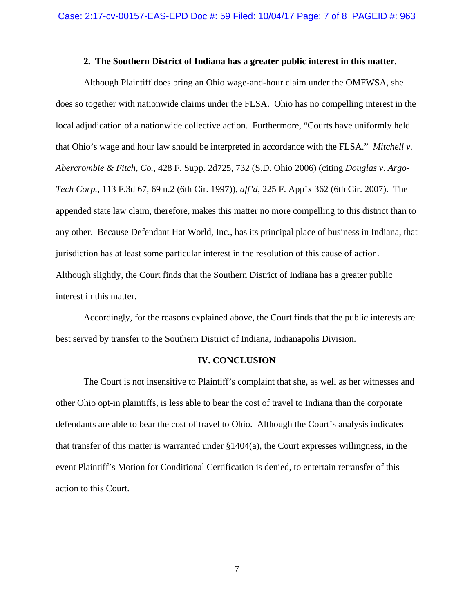### **2. The Southern District of Indiana has a greater public interest in this matter.**

 Although Plaintiff does bring an Ohio wage-and-hour claim under the OMFWSA, she does so together with nationwide claims under the FLSA. Ohio has no compelling interest in the local adjudication of a nationwide collective action. Furthermore, "Courts have uniformly held that Ohio's wage and hour law should be interpreted in accordance with the FLSA." *Mitchell v. Abercrombie & Fitch, Co.*, 428 F. Supp. 2d725, 732 (S.D. Ohio 2006) (citing *Douglas v. Argo-Tech Corp.*, 113 F.3d 67, 69 n.2 (6th Cir. 1997)), *aff'd*, 225 F. App'x 362 (6th Cir. 2007). The appended state law claim, therefore, makes this matter no more compelling to this district than to any other. Because Defendant Hat World, Inc., has its principal place of business in Indiana, that jurisdiction has at least some particular interest in the resolution of this cause of action. Although slightly, the Court finds that the Southern District of Indiana has a greater public interest in this matter.

 Accordingly, for the reasons explained above, the Court finds that the public interests are best served by transfer to the Southern District of Indiana, Indianapolis Division.

### **IV. CONCLUSION**

The Court is not insensitive to Plaintiff's complaint that she, as well as her witnesses and other Ohio opt-in plaintiffs, is less able to bear the cost of travel to Indiana than the corporate defendants are able to bear the cost of travel to Ohio. Although the Court's analysis indicates that transfer of this matter is warranted under  $\S1404(a)$ , the Court expresses willingness, in the event Plaintiff's Motion for Conditional Certification is denied, to entertain retransfer of this action to this Court.